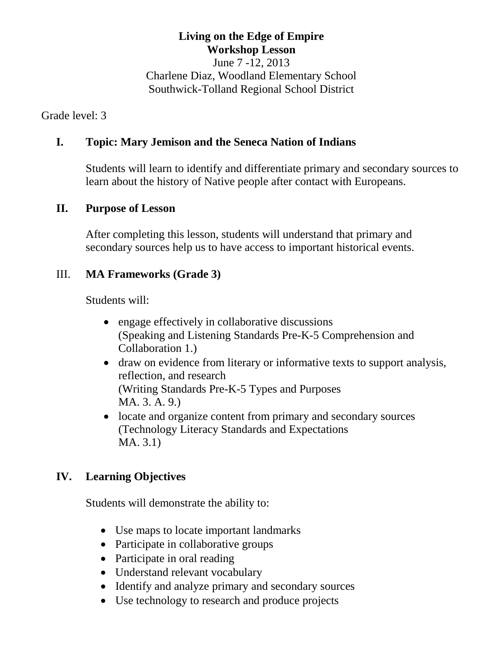# **Living on the Edge of Empire Workshop Lesson**

June 7 -12, 2013 Charlene Diaz, Woodland Elementary School Southwick-Tolland Regional School District

Grade level: 3

#### **I. Topic: Mary Jemison and the Seneca Nation of Indians**

Students will learn to identify and differentiate primary and secondary sources to learn about the history of Native people after contact with Europeans.

#### **II. Purpose of Lesson**

After completing this lesson, students will understand that primary and secondary sources help us to have access to important historical events.

## III. **MA Frameworks (Grade 3)**

Students will:

- engage effectively in collaborative discussions (Speaking and Listening Standards Pre-K-5 Comprehension and Collaboration 1.)
- draw on evidence from literary or informative texts to support analysis, reflection, and research (Writing Standards Pre-K-5 Types and Purposes MA. 3. A. 9.)
- locate and organize content from primary and secondary sources (Technology Literacy Standards and Expectations MA. 3.1)

## **IV. Learning Objectives**

Students will demonstrate the ability to:

- Use maps to locate important landmarks
- Participate in collaborative groups
- Participate in oral reading
- Understand relevant vocabulary
- Identify and analyze primary and secondary sources
- Use technology to research and produce projects